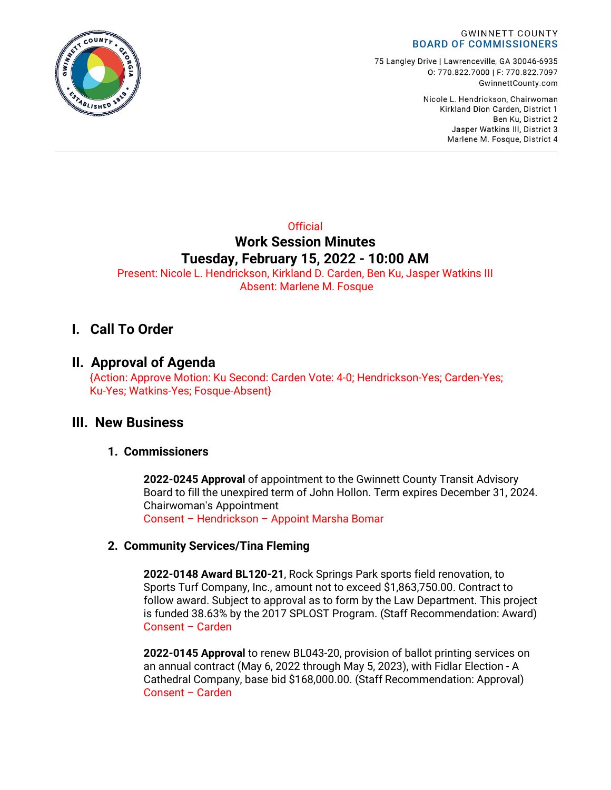

75 Langley Drive | Lawrenceville, GA 30046-6935 0:770.822.7000 | F: 770.822.7097 GwinnettCounty.com

> Nicole L. Hendrickson, Chairwoman Kirkland Dion Carden, District 1 Ben Ku. District 2 Jasper Watkins III, District 3 Marlene M. Fosque, District 4

# **Official Work Session Minutes Tuesday, February 15, 2022 - 10:00 AM**

Present: Nicole L. Hendrickson, Kirkland D. Carden, Ben Ku, Jasper Watkins III Absent: Marlene M. Fosque

# **I. Call To Order**

# **II. Approval of Agenda**

{Action: Approve Motion: Ku Second: Carden Vote: 4-0; Hendrickson-Yes; Carden-Yes; Ku-Yes; Watkins-Yes; Fosque-Absent}

# **III. New Business**

### **1. Commissioners**

**2022-0245 Approval** of appointment to the Gwinnett County Transit Advisory Board to fill the unexpired term of John Hollon. Term expires December 31, 2024. Chairwoman's Appointment

Consent – Hendrickson – Appoint Marsha Bomar

### **2. Community Services/Tina Fleming**

**2022-0148 Award BL120-21**, Rock Springs Park sports field renovation, to Sports Turf Company, Inc., amount not to exceed \$1,863,750.00. Contract to follow award. Subject to approval as to form by the Law Department. This project is funded 38.63% by the 2017 SPLOST Program. (Staff Recommendation: Award) Consent – Carden

**2022-0145 Approval** to renew BL043-20, provision of ballot printing services on an annual contract (May 6, 2022 through May 5, 2023), with Fidlar Election - A Cathedral Company, base bid \$168,000.00. (Staff Recommendation: Approval) Consent – Carden

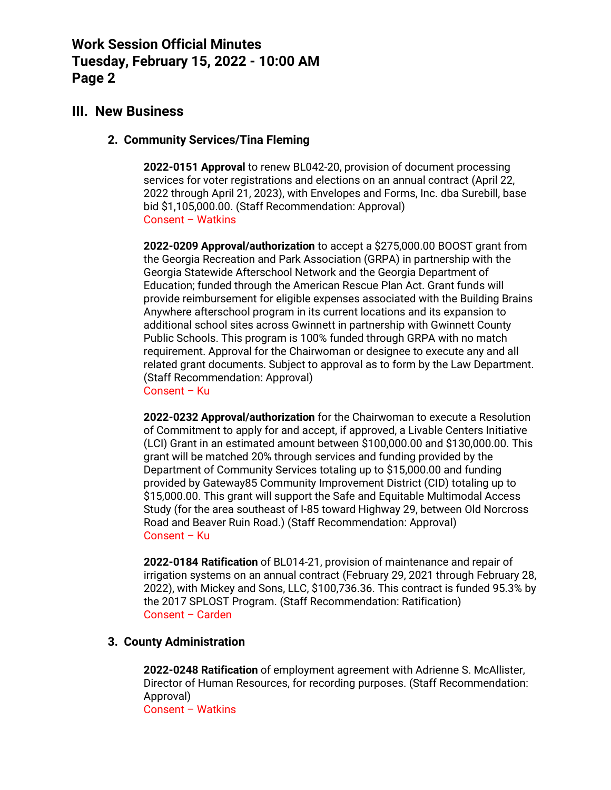## **III. New Business**

#### **2. Community Services/Tina Fleming**

**2022-0151 Approval** to renew BL042-20, provision of document processing services for voter registrations and elections on an annual contract (April 22, 2022 through April 21, 2023), with Envelopes and Forms, Inc. dba Surebill, base bid \$1,105,000.00. (Staff Recommendation: Approval) Consent – Watkins

**2022-0209 Approval/authorization** to accept a \$275,000.00 BOOST grant from the Georgia Recreation and Park Association (GRPA) in partnership with the Georgia Statewide Afterschool Network and the Georgia Department of Education; funded through the American Rescue Plan Act. Grant funds will provide reimbursement for eligible expenses associated with the Building Brains Anywhere afterschool program in its current locations and its expansion to additional school sites across Gwinnett in partnership with Gwinnett County Public Schools. This program is 100% funded through GRPA with no match requirement. Approval for the Chairwoman or designee to execute any and all related grant documents. Subject to approval as to form by the Law Department. (Staff Recommendation: Approval)

Consent – Ku

**2022-0232 Approval/authorization** for the Chairwoman to execute a Resolution of Commitment to apply for and accept, if approved, a Livable Centers Initiative (LCI) Grant in an estimated amount between \$100,000.00 and \$130,000.00. This grant will be matched 20% through services and funding provided by the Department of Community Services totaling up to \$15,000.00 and funding provided by Gateway85 Community Improvement District (CID) totaling up to \$15,000.00. This grant will support the Safe and Equitable Multimodal Access Study (for the area southeast of I-85 toward Highway 29, between Old Norcross Road and Beaver Ruin Road.) (Staff Recommendation: Approval) Consent – Ku

**2022-0184 Ratification** of BL014-21, provision of maintenance and repair of irrigation systems on an annual contract (February 29, 2021 through February 28, 2022), with Mickey and Sons, LLC, \$100,736.36. This contract is funded 95.3% by the 2017 SPLOST Program. (Staff Recommendation: Ratification) Consent – Carden

### **3. County Administration**

**2022-0248 Ratification** of employment agreement with Adrienne S. McAllister, Director of Human Resources, for recording purposes. (Staff Recommendation: Approval) Consent – Watkins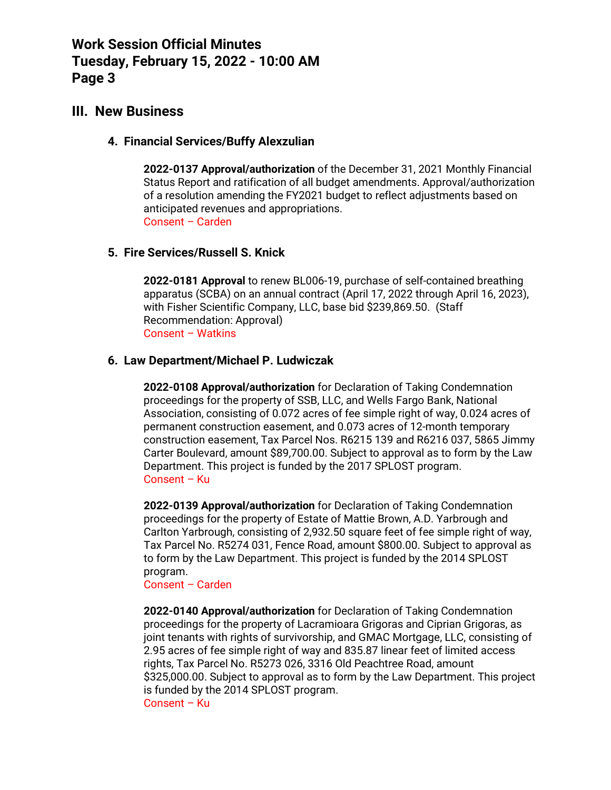### **III. New Business**

#### **4. Financial Services/Buffy Alexzulian**

**2022-0137 Approval/authorization** of the December 31, 2021 Monthly Financial Status Report and ratification of all budget amendments. Approval/authorization of a resolution amending the FY2021 budget to reflect adjustments based on anticipated revenues and appropriations. Consent – Carden

#### **5. Fire Services/Russell S. Knick**

**2022-0181 Approval** to renew BL006-19, purchase of self-contained breathing apparatus (SCBA) on an annual contract (April 17, 2022 through April 16, 2023), with Fisher Scientific Company, LLC, base bid \$239,869.50. (Staff Recommendation: Approval) Consent – Watkins

#### **6. Law Department/Michael P. Ludwiczak**

**2022-0108 Approval/authorization** for Declaration of Taking Condemnation proceedings for the property of SSB, LLC, and Wells Fargo Bank, National Association, consisting of 0.072 acres of fee simple right of way, 0.024 acres of permanent construction easement, and 0.073 acres of 12-month temporary construction easement, Tax Parcel Nos. R6215 139 and R6216 037, 5865 Jimmy Carter Boulevard, amount \$89,700.00. Subject to approval as to form by the Law Department. This project is funded by the 2017 SPLOST program. Consent – Ku

**2022-0139 Approval/authorization** for Declaration of Taking Condemnation proceedings for the property of Estate of Mattie Brown, A.D. Yarbrough and Carlton Yarbrough, consisting of 2,932.50 square feet of fee simple right of way, Tax Parcel No. R5274 031, Fence Road, amount \$800.00. Subject to approval as to form by the Law Department. This project is funded by the 2014 SPLOST program.

#### Consent – Carden

**2022-0140 Approval/authorization** for Declaration of Taking Condemnation proceedings for the property of Lacramioara Grigoras and Ciprian Grigoras, as joint tenants with rights of survivorship, and GMAC Mortgage, LLC, consisting of 2.95 acres of fee simple right of way and 835.87 linear feet of limited access rights, Tax Parcel No. R5273 026, 3316 Old Peachtree Road, amount \$325,000.00. Subject to approval as to form by the Law Department. This project is funded by the 2014 SPLOST program. Consent – Ku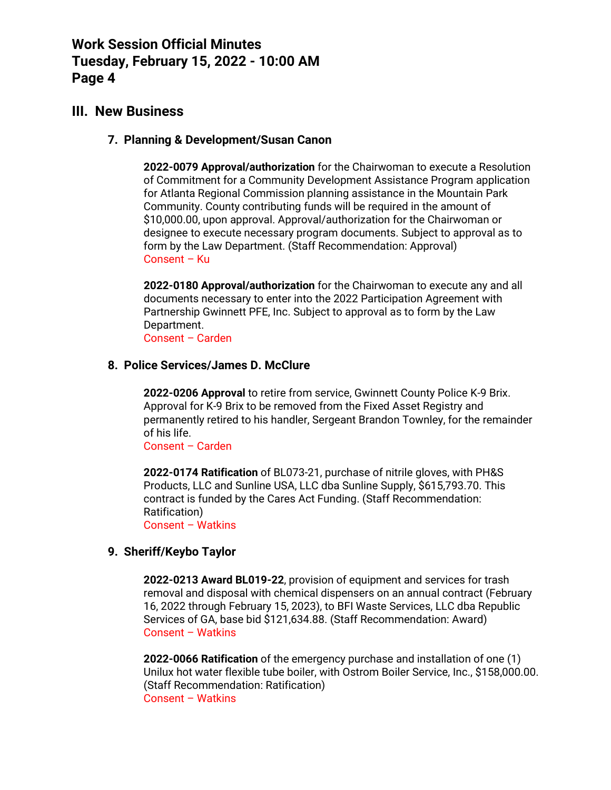### **III. New Business**

#### **7. Planning & Development/Susan Canon**

**2022-0079 Approval/authorization** for the Chairwoman to execute a Resolution of Commitment for a Community Development Assistance Program application for Atlanta Regional Commission planning assistance in the Mountain Park Community. County contributing funds will be required in the amount of \$10,000.00, upon approval. Approval/authorization for the Chairwoman or designee to execute necessary program documents. Subject to approval as to form by the Law Department. (Staff Recommendation: Approval) Consent – Ku

**2022-0180 Approval/authorization** for the Chairwoman to execute any and all documents necessary to enter into the 2022 Participation Agreement with Partnership Gwinnett PFE, Inc. Subject to approval as to form by the Law Department.

Consent – Carden

#### **8. Police Services/James D. McClure**

**2022-0206 Approval** to retire from service, Gwinnett County Police K-9 Brix. Approval for K-9 Brix to be removed from the Fixed Asset Registry and permanently retired to his handler, Sergeant Brandon Townley, for the remainder of his life.

Consent – Carden

**2022-0174 Ratification** of BL073-21, purchase of nitrile gloves, with PH&S Products, LLC and Sunline USA, LLC dba Sunline Supply, \$615,793.70. This contract is funded by the Cares Act Funding. (Staff Recommendation: Ratification)

Consent – Watkins

#### **9. Sheriff/Keybo Taylor**

**2022-0213 Award BL019-22**, provision of equipment and services for trash removal and disposal with chemical dispensers on an annual contract (February 16, 2022 through February 15, 2023), to BFI Waste Services, LLC dba Republic Services of GA, base bid \$121,634.88. (Staff Recommendation: Award) Consent – Watkins

**2022-0066 Ratification** of the emergency purchase and installation of one (1) Unilux hot water flexible tube boiler, with Ostrom Boiler Service, Inc., \$158,000.00. (Staff Recommendation: Ratification) Consent – Watkins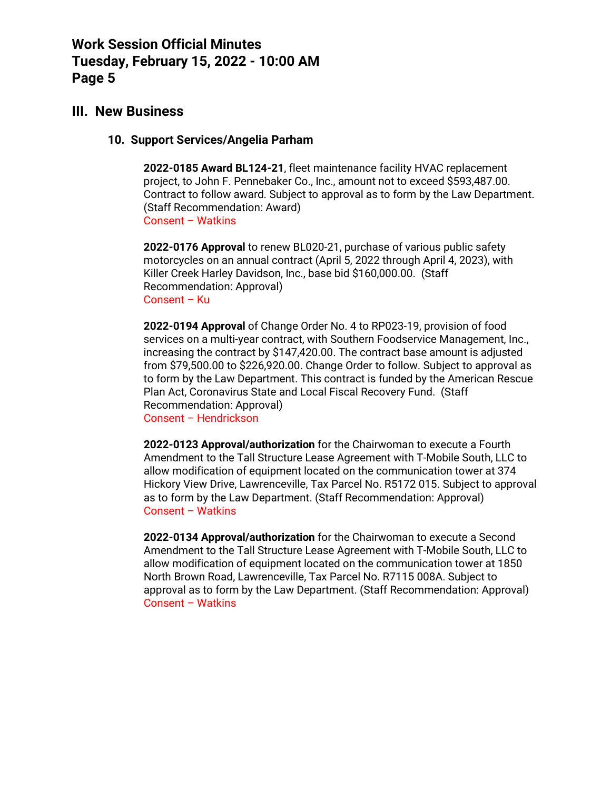### **III. New Business**

#### **10. Support Services/Angelia Parham**

**2022-0185 Award BL124-21**, fleet maintenance facility HVAC replacement project, to John F. Pennebaker Co., Inc., amount not to exceed \$593,487.00. Contract to follow award. Subject to approval as to form by the Law Department. (Staff Recommendation: Award) Consent – Watkins

**2022-0176 Approval** to renew BL020-21, purchase of various public safety motorcycles on an annual contract (April 5, 2022 through April 4, 2023), with Killer Creek Harley Davidson, Inc., base bid \$160,000.00. (Staff Recommendation: Approval) Consent – Ku

**2022-0194 Approval** of Change Order No. 4 to RP023-19, provision of food services on a multi-year contract, with Southern Foodservice Management, Inc., increasing the contract by \$147,420.00. The contract base amount is adjusted from \$79,500.00 to \$226,920.00. Change Order to follow. Subject to approval as to form by the Law Department. This contract is funded by the American Rescue Plan Act, Coronavirus State and Local Fiscal Recovery Fund. (Staff Recommendation: Approval)

Consent – Hendrickson

**2022-0123 Approval/authorization** for the Chairwoman to execute a Fourth Amendment to the Tall Structure Lease Agreement with T-Mobile South, LLC to allow modification of equipment located on the communication tower at 374 Hickory View Drive, Lawrenceville, Tax Parcel No. R5172 015. Subject to approval as to form by the Law Department. (Staff Recommendation: Approval) Consent – Watkins

**2022-0134 Approval/authorization** for the Chairwoman to execute a Second Amendment to the Tall Structure Lease Agreement with T-Mobile South, LLC to allow modification of equipment located on the communication tower at 1850 North Brown Road, Lawrenceville, Tax Parcel No. R7115 008A. Subject to approval as to form by the Law Department. (Staff Recommendation: Approval) Consent – Watkins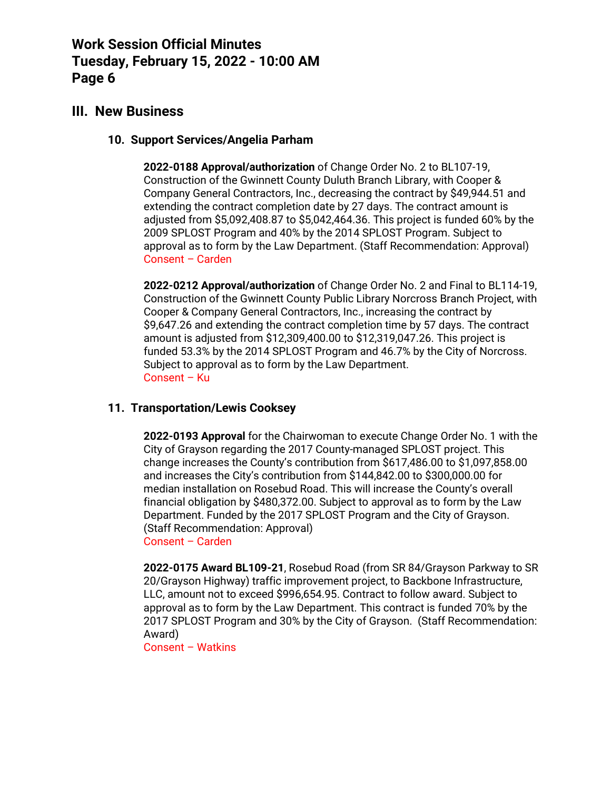### **III. New Business**

#### **10. Support Services/Angelia Parham**

**2022-0188 Approval/authorization** of Change Order No. 2 to BL107-19, Construction of the Gwinnett County Duluth Branch Library, with Cooper & Company General Contractors, Inc., decreasing the contract by \$49,944.51 and extending the contract completion date by 27 days. The contract amount is adjusted from \$5,092,408.87 to \$5,042,464.36. This project is funded 60% by the 2009 SPLOST Program and 40% by the 2014 SPLOST Program. Subject to approval as to form by the Law Department. (Staff Recommendation: Approval) Consent – Carden

**2022-0212 Approval/authorization** of Change Order No. 2 and Final to BL114-19, Construction of the Gwinnett County Public Library Norcross Branch Project, with Cooper & Company General Contractors, Inc., increasing the contract by \$9,647.26 and extending the contract completion time by 57 days. The contract amount is adjusted from \$12,309,400.00 to \$12,319,047.26. This project is funded 53.3% by the 2014 SPLOST Program and 46.7% by the City of Norcross. Subject to approval as to form by the Law Department. Consent – Ku

### **11. Transportation/Lewis Cooksey**

**2022-0193 Approval** for the Chairwoman to execute Change Order No. 1 with the City of Grayson regarding the 2017 County-managed SPLOST project. This change increases the County's contribution from \$617,486.00 to \$1,097,858.00 and increases the City's contribution from \$144,842.00 to \$300,000.00 for median installation on Rosebud Road. This will increase the County's overall financial obligation by \$480,372.00. Subject to approval as to form by the Law Department. Funded by the 2017 SPLOST Program and the City of Grayson. (Staff Recommendation: Approval) Consent – Carden

**2022-0175 Award BL109-21**, Rosebud Road (from SR 84/Grayson Parkway to SR 20/Grayson Highway) traffic improvement project, to Backbone Infrastructure, LLC, amount not to exceed \$996,654.95. Contract to follow award. Subject to approval as to form by the Law Department. This contract is funded 70% by the 2017 SPLOST Program and 30% by the City of Grayson. (Staff Recommendation: Award)

Consent – Watkins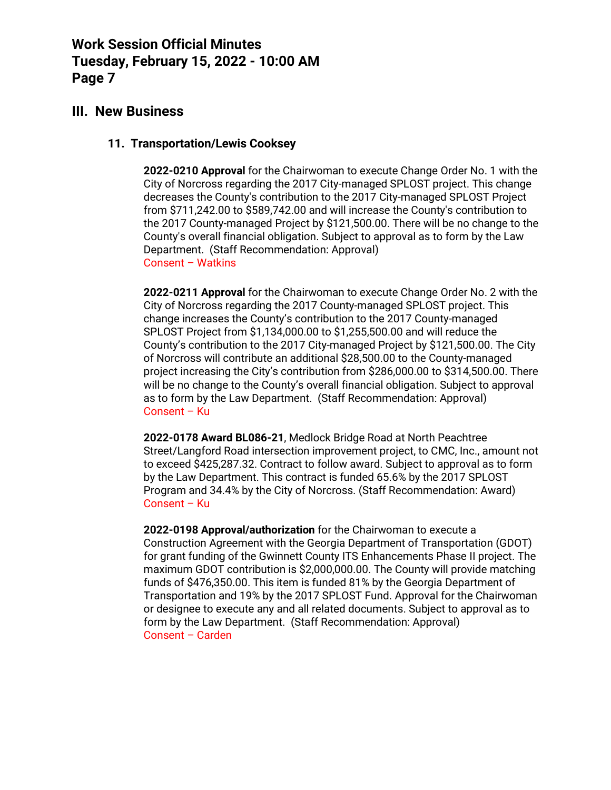## **III. New Business**

#### **11. Transportation/Lewis Cooksey**

**2022-0210 Approval** for the Chairwoman to execute Change Order No. 1 with the City of Norcross regarding the 2017 City-managed SPLOST project. This change decreases the County's contribution to the 2017 City-managed SPLOST Project from \$711,242.00 to \$589,742.00 and will increase the County's contribution to the 2017 County-managed Project by \$121,500.00. There will be no change to the County's overall financial obligation. Subject to approval as to form by the Law Department. (Staff Recommendation: Approval) Consent – Watkins

**2022-0211 Approval** for the Chairwoman to execute Change Order No. 2 with the City of Norcross regarding the 2017 County-managed SPLOST project. This change increases the County's contribution to the 2017 County-managed SPLOST Project from \$1,134,000.00 to \$1,255,500.00 and will reduce the County's contribution to the 2017 City-managed Project by \$121,500.00. The City of Norcross will contribute an additional \$28,500.00 to the County-managed project increasing the City's contribution from \$286,000.00 to \$314,500.00. There will be no change to the County's overall financial obligation. Subject to approval as to form by the Law Department. (Staff Recommendation: Approval) Consent – Ku

**2022-0178 Award BL086-21**, Medlock Bridge Road at North Peachtree Street/Langford Road intersection improvement project, to CMC, Inc., amount not to exceed \$425,287.32. Contract to follow award. Subject to approval as to form by the Law Department. This contract is funded 65.6% by the 2017 SPLOST Program and 34.4% by the City of Norcross. (Staff Recommendation: Award) Consent – Ku

**2022-0198 Approval/authorization** for the Chairwoman to execute a Construction Agreement with the Georgia Department of Transportation (GDOT) for grant funding of the Gwinnett County ITS Enhancements Phase II project. The maximum GDOT contribution is \$2,000,000.00. The County will provide matching funds of \$476,350.00. This item is funded 81% by the Georgia Department of Transportation and 19% by the 2017 SPLOST Fund. Approval for the Chairwoman or designee to execute any and all related documents. Subject to approval as to form by the Law Department. (Staff Recommendation: Approval) Consent – Carden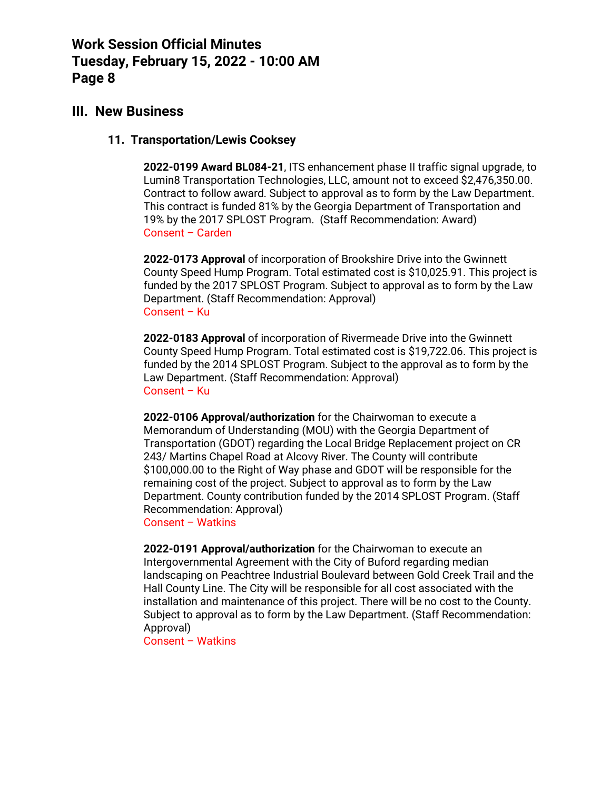### **III. New Business**

### **11. Transportation/Lewis Cooksey**

**2022-0199 Award BL084-21**, ITS enhancement phase II traffic signal upgrade, to Lumin8 Transportation Technologies, LLC, amount not to exceed \$2,476,350.00. Contract to follow award. Subject to approval as to form by the Law Department. This contract is funded 81% by the Georgia Department of Transportation and 19% by the 2017 SPLOST Program. (Staff Recommendation: Award) Consent – Carden

**2022-0173 Approval** of incorporation of Brookshire Drive into the Gwinnett County Speed Hump Program. Total estimated cost is \$10,025.91. This project is funded by the 2017 SPLOST Program. Subject to approval as to form by the Law Department. (Staff Recommendation: Approval) Consent – Ku

**2022-0183 Approval** of incorporation of Rivermeade Drive into the Gwinnett County Speed Hump Program. Total estimated cost is \$19,722.06. This project is funded by the 2014 SPLOST Program. Subject to the approval as to form by the Law Department. (Staff Recommendation: Approval) Consent – Ku

**2022-0106 Approval/authorization** for the Chairwoman to execute a Memorandum of Understanding (MOU) with the Georgia Department of Transportation (GDOT) regarding the Local Bridge Replacement project on CR 243/ Martins Chapel Road at Alcovy River. The County will contribute \$100,000.00 to the Right of Way phase and GDOT will be responsible for the remaining cost of the project. Subject to approval as to form by the Law Department. County contribution funded by the 2014 SPLOST Program. (Staff Recommendation: Approval)

Consent – Watkins

**2022-0191 Approval/authorization** for the Chairwoman to execute an Intergovernmental Agreement with the City of Buford regarding median landscaping on Peachtree Industrial Boulevard between Gold Creek Trail and the Hall County Line. The City will be responsible for all cost associated with the installation and maintenance of this project. There will be no cost to the County. Subject to approval as to form by the Law Department. (Staff Recommendation: Approval)

Consent – Watkins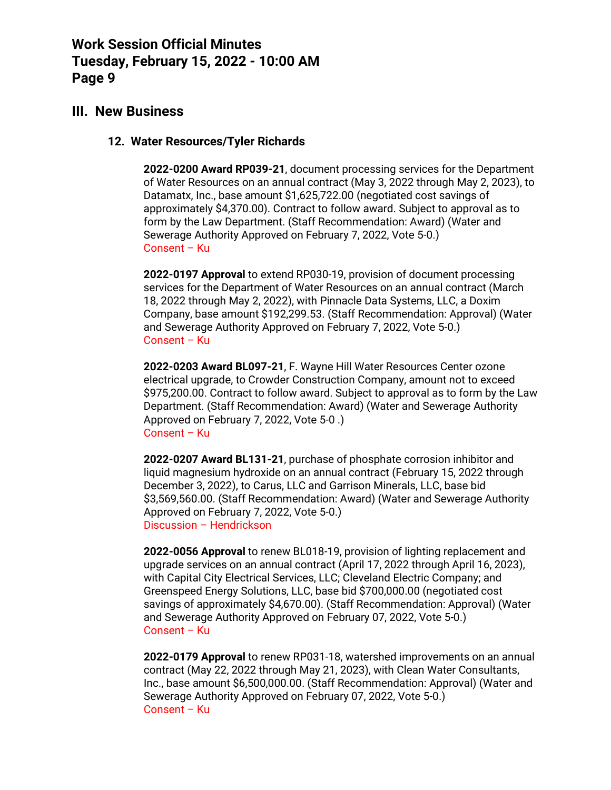### **III. New Business**

#### **12. Water Resources/Tyler Richards**

**2022-0200 Award RP039-21**, document processing services for the Department of Water Resources on an annual contract (May 3, 2022 through May 2, 2023), to Datamatx, Inc., base amount \$1,625,722.00 (negotiated cost savings of approximately \$4,370.00). Contract to follow award. Subject to approval as to form by the Law Department. (Staff Recommendation: Award) (Water and Sewerage Authority Approved on February 7, 2022, Vote 5-0.) Consent – Ku

**2022-0197 Approval** to extend RP030-19, provision of document processing services for the Department of Water Resources on an annual contract (March 18, 2022 through May 2, 2022), with Pinnacle Data Systems, LLC, a Doxim Company, base amount \$192,299.53. (Staff Recommendation: Approval) (Water and Sewerage Authority Approved on February 7, 2022, Vote 5-0.) Consent – Ku

**2022-0203 Award BL097-21**, F. Wayne Hill Water Resources Center ozone electrical upgrade, to Crowder Construction Company, amount not to exceed \$975,200.00. Contract to follow award. Subject to approval as to form by the Law Department. (Staff Recommendation: Award) (Water and Sewerage Authority Approved on February 7, 2022, Vote 5-0 .) Consent – Ku

**2022-0207 Award BL131-21**, purchase of phosphate corrosion inhibitor and liquid magnesium hydroxide on an annual contract (February 15, 2022 through December 3, 2022), to Carus, LLC and Garrison Minerals, LLC, base bid \$3,569,560.00. (Staff Recommendation: Award) (Water and Sewerage Authority Approved on February 7, 2022, Vote 5-0.) Discussion – Hendrickson

**2022-0056 Approval** to renew BL018-19, provision of lighting replacement and upgrade services on an annual contract (April 17, 2022 through April 16, 2023), with Capital City Electrical Services, LLC; Cleveland Electric Company; and Greenspeed Energy Solutions, LLC, base bid \$700,000.00 (negotiated cost savings of approximately \$4,670.00). (Staff Recommendation: Approval) (Water and Sewerage Authority Approved on February 07, 2022, Vote 5-0.) Consent – Ku

**2022-0179 Approval** to renew RP031-18, watershed improvements on an annual contract (May 22, 2022 through May 21, 2023), with Clean Water Consultants, Inc., base amount \$6,500,000.00. (Staff Recommendation: Approval) (Water and Sewerage Authority Approved on February 07, 2022, Vote 5-0.) Consent – Ku